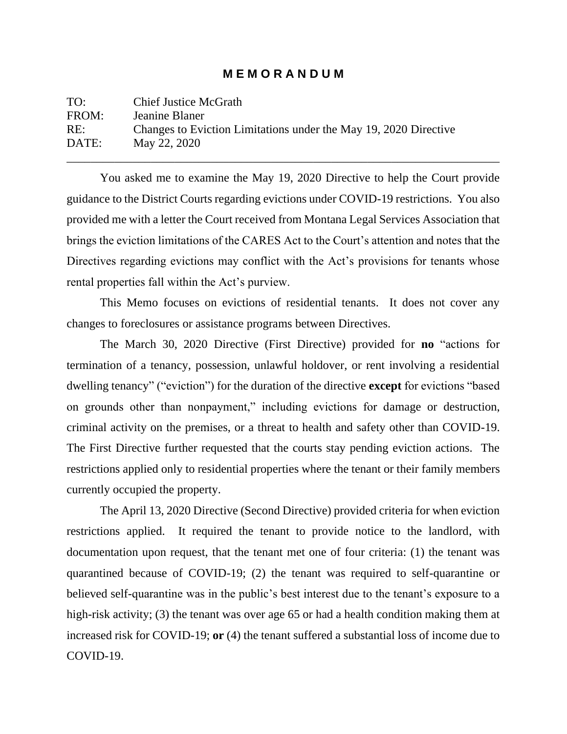## **M E M O R A N D U M**

| TO:   | <b>Chief Justice McGrath</b>                                     |
|-------|------------------------------------------------------------------|
| FROM: | Jeanine Blaner                                                   |
| RE:   | Changes to Eviction Limitations under the May 19, 2020 Directive |
| DATE: | May 22, 2020                                                     |
|       |                                                                  |

You asked me to examine the May 19, 2020 Directive to help the Court provide guidance to the District Courts regarding evictions under COVID-19 restrictions. You also provided me with a letter the Court received from Montana Legal Services Association that brings the eviction limitations of the CARES Act to the Court's attention and notes that the Directives regarding evictions may conflict with the Act's provisions for tenants whose rental properties fall within the Act's purview.

This Memo focuses on evictions of residential tenants. It does not cover any changes to foreclosures or assistance programs between Directives.

The March 30, 2020 Directive (First Directive) provided for **no** "actions for termination of a tenancy, possession, unlawful holdover, or rent involving a residential dwelling tenancy" ("eviction") for the duration of the directive **except** for evictions "based on grounds other than nonpayment," including evictions for damage or destruction, criminal activity on the premises, or a threat to health and safety other than COVID-19. The First Directive further requested that the courts stay pending eviction actions. The restrictions applied only to residential properties where the tenant or their family members currently occupied the property.

The April 13, 2020 Directive (Second Directive) provided criteria for when eviction restrictions applied. It required the tenant to provide notice to the landlord, with documentation upon request, that the tenant met one of four criteria: (1) the tenant was quarantined because of COVID-19; (2) the tenant was required to self-quarantine or believed self-quarantine was in the public's best interest due to the tenant's exposure to a high-risk activity; (3) the tenant was over age 65 or had a health condition making them at increased risk for COVID-19; **or** (4) the tenant suffered a substantial loss of income due to COVID-19.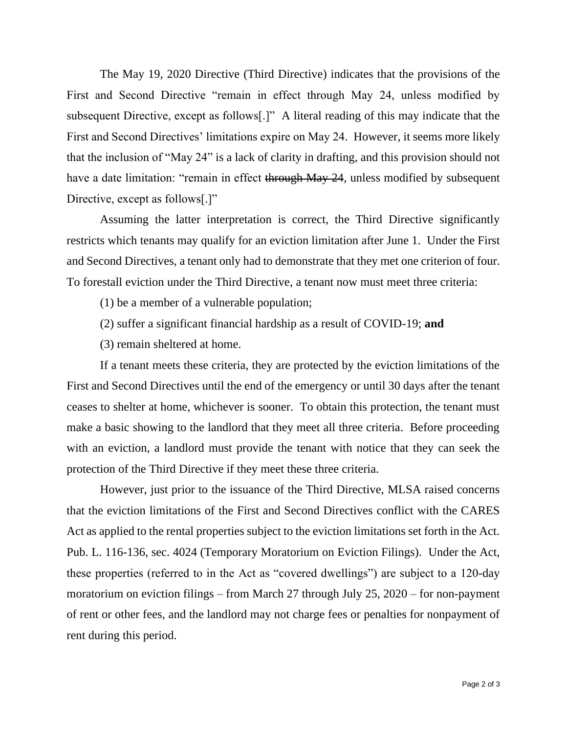The May 19, 2020 Directive (Third Directive) indicates that the provisions of the First and Second Directive "remain in effect through May 24, unless modified by subsequent Directive, except as follows[.]" A literal reading of this may indicate that the First and Second Directives' limitations expire on May 24. However, it seems more likely that the inclusion of "May 24" is a lack of clarity in drafting, and this provision should not have a date limitation: "remain in effect through May 24, unless modified by subsequent Directive, except as follows[.]"

Assuming the latter interpretation is correct, the Third Directive significantly restricts which tenants may qualify for an eviction limitation after June 1. Under the First and Second Directives, a tenant only had to demonstrate that they met one criterion of four. To forestall eviction under the Third Directive, a tenant now must meet three criteria:

(1) be a member of a vulnerable population;

- (2) suffer a significant financial hardship as a result of COVID-19; **and**
- (3) remain sheltered at home.

If a tenant meets these criteria, they are protected by the eviction limitations of the First and Second Directives until the end of the emergency or until 30 days after the tenant ceases to shelter at home, whichever is sooner. To obtain this protection, the tenant must make a basic showing to the landlord that they meet all three criteria. Before proceeding with an eviction, a landlord must provide the tenant with notice that they can seek the protection of the Third Directive if they meet these three criteria.

However, just prior to the issuance of the Third Directive, MLSA raised concerns that the eviction limitations of the First and Second Directives conflict with the CARES Act as applied to the rental properties subject to the eviction limitations set forth in the Act. Pub. L. 116-136, sec. 4024 (Temporary Moratorium on Eviction Filings). Under the Act, these properties (referred to in the Act as "covered dwellings") are subject to a 120-day moratorium on eviction filings – from March 27 through July 25, 2020 – for non-payment of rent or other fees, and the landlord may not charge fees or penalties for nonpayment of rent during this period.